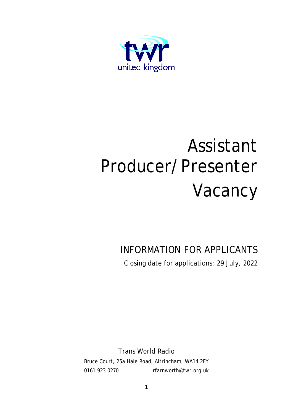

# Assistant Producer/Presenter Vacancy

### INFORMATION FOR APPLICANTS Closing date for applications: 29 July, 2022

Trans World Radio

Bruce Court, 25a Hale Road, Altrincham, WA14 2EY 0161 923 0270 [rfarnworth@twr.org.uk](mailto:rfarnworth@twr.org.uk)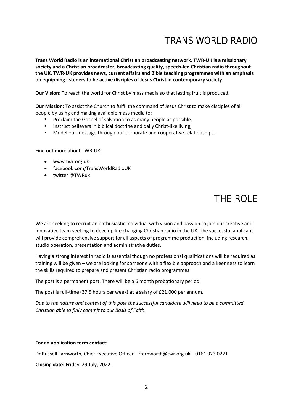### TRANS WORLD RADIO

**Trans World Radio is an international Christian broadcasting network. TWR-UK is a missionary society and a Christian broadcaster, broadcasting quality, speech-led Christian radio throughout the UK. TWR-UK provides news, current affairs and Bible teaching programmes with an emphasis on equipping listeners to be active disciples of Jesus Christ in contemporary society.**

**Our Vision:** To reach the world for Christ by mass media so that lasting fruit is produced.

**Our Mission:** To assist the Church to fulfil the command of Jesus Christ to make disciples of all people by using and making available mass media to:

- **Proclaim the Gospel of salvation to as many people as possible,**
- **Instruct believers in biblical doctrine and daily Christ-like living,**
- **Model our message through our corporate and cooperative relationships.**

Find out more about TWR-UK:

- [www.twr.org.uk](http://www.twr.org.uk/)
- facebook.com/TransWorldRadioUK
- twitter @TWRuk

## THE ROLE

We are seeking to recruit an enthusiastic individual with vision and passion to join our creative and innovative team seeking to develop life changing Christian radio in the UK. The successful applicant will provide comprehensive support for all aspects of programme production, including research, studio operation, presentation and administrative duties.

Having a strong interest in radio is essential though no professional qualifications will be required as training will be given – we are looking for someone with a flexible approach and a keenness to learn the skills required to prepare and present Christian radio programmes.

The post is a permanent post. There will be a 6 month probationary period.

The post is full-time (37.5 hours per week) at a salary of £21,000 per annum.

*Due to the nature and context of this post the successful candidate will need to be a committed Christian able to fully commit to our Basis of Faith.* 

#### **For an application form contact:**

Dr Russell Farnworth, Chief Executive Officer [rfarnworth@twr.org.uk](mailto:rfarnworth@twr.org.uk) 0161 923 0271

**Closing date: Fri**day, 29 July, 2022.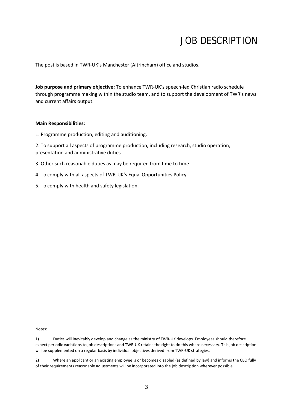### JOB DESCRIPTION

The post is based in TWR-UK's Manchester (Altrincham) office and studios.

**Job purpose and primary objective:** To enhance TWR-UK's speech-led Christian radio schedule through programme making within the studio team, and to support the development of TWR's news and current affairs output.

#### **Main Responsibilities:**

1. Programme production, editing and auditioning.

2. To support all aspects of programme production, including research, studio operation, presentation and administrative duties.

- 3. Other such reasonable duties as may be required from time to time
- 4. To comply with all aspects of TWR-UK's Equal Opportunities Policy
- 5. To comply with health and safety legislation.

Notes:

1) Duties will inevitably develop and change as the ministry of TWR-UK develops. Employees should therefore expect periodic variations to job descriptions and TWR-UK retains the right to do this where necessary. This job description will be supplemented on a regular basis by individual objectives derived from TWR-UK strategies.

2) Where an applicant or an existing employee is or becomes disabled (as defined by law) and informs the CEO fully of their requirements reasonable adjustments will be incorporated into the job description wherever possible.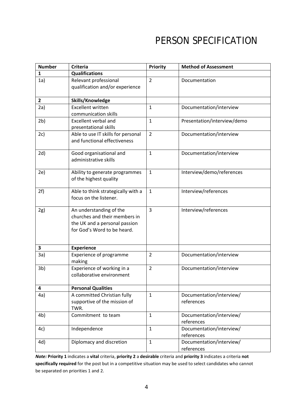## PERSON SPECIFICATION

| <b>Number</b>  | <b>Criteria</b>                                                                                                          | Priority       | <b>Method of Assessment</b>            |
|----------------|--------------------------------------------------------------------------------------------------------------------------|----------------|----------------------------------------|
| $\mathbf{1}$   | <b>Qualifications</b>                                                                                                    |                |                                        |
| 1a)            | Relevant professional<br>qualification and/or experience                                                                 | $\overline{2}$ | Documentation                          |
| $\mathbf{2}$   | Skills/Knowledge                                                                                                         |                |                                        |
| 2a)            | <b>Excellent written</b><br>communication skills                                                                         | $\mathbf{1}$   | Documentation/interview                |
| 2 <sub>b</sub> | <b>Excellent verbal and</b><br>presentational skills                                                                     | $\mathbf 1$    | Presentation/interview/demo            |
| 2c)            | Able to use IT skills for personal<br>and functional effectiveness                                                       | $\overline{2}$ | Documentation/interview                |
| 2d)            | Good organisational and<br>administrative skills                                                                         | $\mathbf{1}$   | Documentation/interview                |
| 2e)            | Ability to generate programmes<br>of the highest quality                                                                 | $\mathbf{1}$   | Interview/demo/references              |
| 2f)            | Able to think strategically with a<br>focus on the listener.                                                             | $\mathbf{1}$   | Interview/references                   |
| 2g)            | An understanding of the<br>churches and their members in<br>the UK and a personal passion<br>for God's Word to be heard. | $\overline{3}$ | Interview/references                   |
| 3              | <b>Experience</b>                                                                                                        |                |                                        |
| 3a)            | Experience of programme<br>making                                                                                        | $\overline{2}$ | Documentation/interview                |
| 3 <sub>b</sub> | Experience of working in a<br>collaborative environment                                                                  | $\overline{2}$ | Documentation/interview                |
| 4              | <b>Personal Qualities</b>                                                                                                |                |                                        |
| 4a)            | A committed Christian fully<br>supportive of the mission of<br>TWR.                                                      | $\mathbf{1}$   | Documentation/interview/<br>references |
| 4 <sub>b</sub> | Commitment to team                                                                                                       | $\mathbf{1}$   | Documentation/interview/<br>references |
| 4c)            | Independence                                                                                                             | $\mathbf{1}$   | Documentation/interview/<br>references |
| 4d)            | Diplomacy and discretion                                                                                                 | $\mathbf{1}$   | Documentation/interview/<br>references |

*Note:* **Priority 1** indicates a **vital** criteria, **priority 2** a **desirable** criteria and **priority 3** indicates a criteria **not specifically required** for the post but in a competitive situation may be used to select candidates who cannot be separated on priorities 1 and 2.